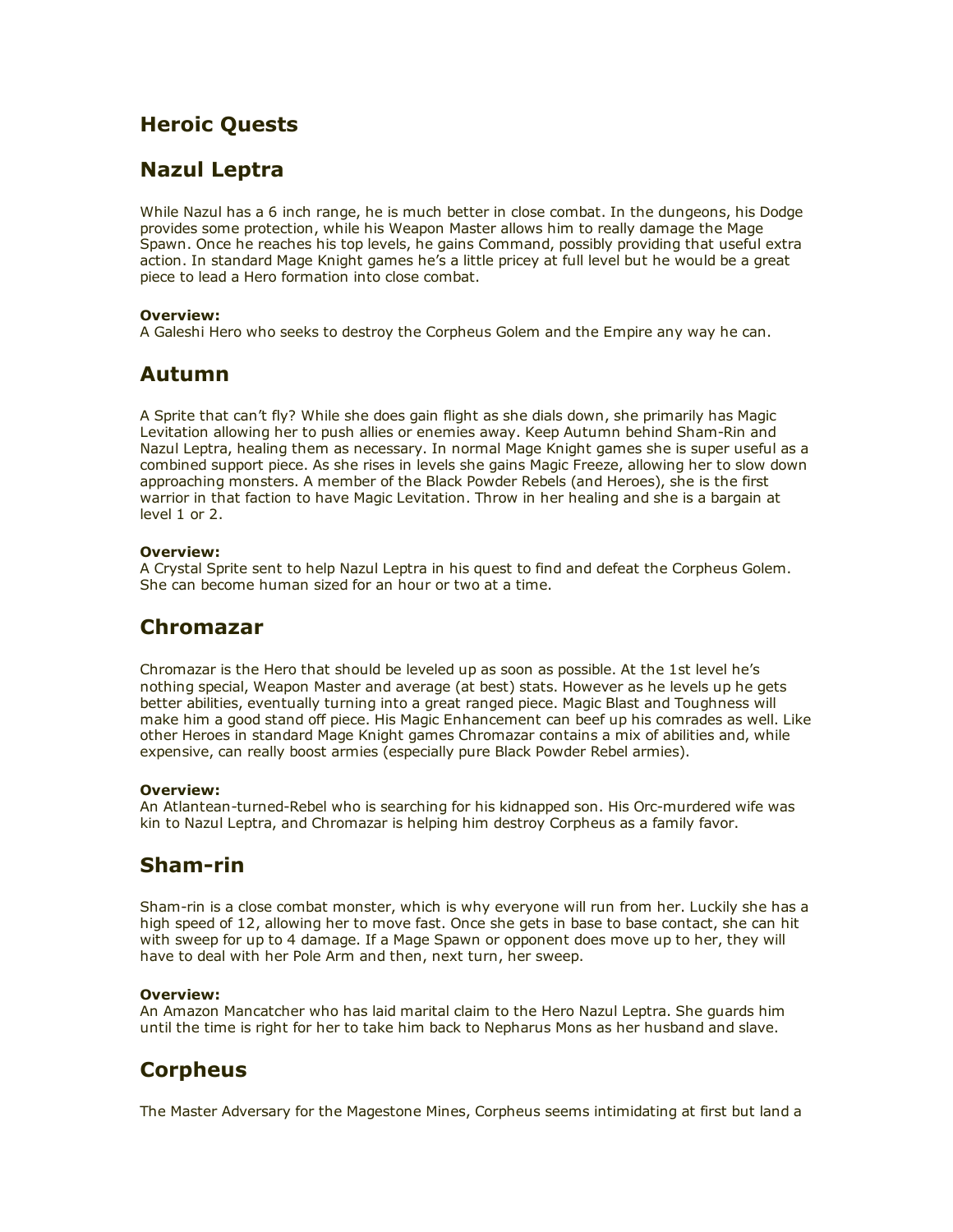# Heroic Quests

# Nazul Leptra

While Nazul has a 6 inch range, he is much better in close combat. In the dungeons, his Dodge provides some protection, while his Weapon Master allows him to really damage the Mage Spawn. Once he reaches his top levels, he gains Command, possibly providing that useful extra action. In standard Mage Knight games he's a little pricey at full level but he would be a great piece to lead a Hero formation into close combat.

### Overview:

A Galeshi Hero who seeks to destroy the Corpheus Golem and the Empire any way he can.

## Autumn

A Sprite that can't fly? While she does gain flight as she dials down, she primarily has Magic Levitation allowing her to push allies or enemies away. Keep Autumn behind Sham-Rin and Nazul Leptra, healing them as necessary. In normal Mage Knight games she is super useful as a combined support piece. As she rises in levels she gains Magic Freeze, allowing her to slow down approaching monsters. A member of the Black Powder Rebels (and Heroes), she is the first warrior in that faction to have Magic Levitation. Throw in her healing and she is a bargain at level 1 or 2.

### Overview:

A Crystal Sprite sent to help Nazul Leptra in his quest to find and defeat the Corpheus Golem. She can become human sized for an hour or two at a time.

# Chromazar

Chromazar is the Hero that should be leveled up as soon as possible. At the 1st level he's nothing special, Weapon Master and average (at best) stats. However as he levels up he gets better abilities, eventually turning into a great ranged piece. Magic Blast and Toughness will make him a good stand off piece. His Magic Enhancement can beef up his comrades as well. Like other Heroes in standard Mage Knight games Chromazar contains a mix of abilities and, while expensive, can really boost armies (especially pure Black Powder Rebel armies).

### Overview:

An Atlantean-turned-Rebel who is searching for his kidnapped son. His Orc-murdered wife was kin to Nazul Leptra, and Chromazar is helping him destroy Corpheus as a family favor.

# Sham-rin

Sham-rin is a close combat monster, which is why everyone will run from her. Luckily she has a high speed of 12, allowing her to move fast. Once she gets in base to base contact, she can hit with sweep for up to 4 damage. If a Mage Spawn or opponent does move up to her, they will have to deal with her Pole Arm and then, next turn, her sweep.

### Overview:

An Amazon Mancatcher who has laid marital claim to the Hero Nazul Leptra. She guards him until the time is right for her to take him back to Nepharus Mons as her husband and slave.

# **Corpheus**

The Master Adversary for the Magestone Mines, Corpheus seems intimidating at first but land a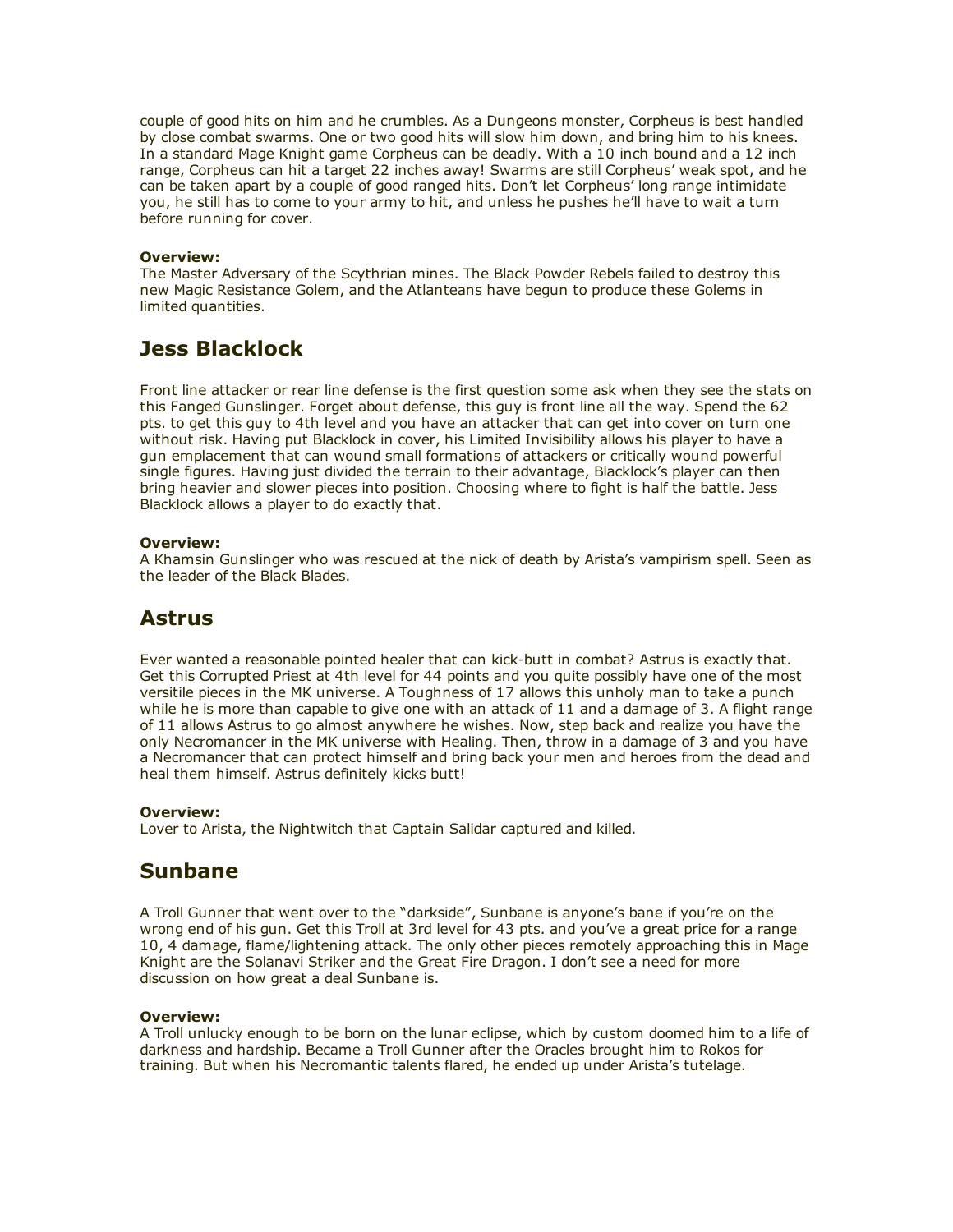couple of good hits on him and he crumbles. As a Dungeons monster, Corpheus is best handled by close combat swarms. One or two good hits will slow him down, and bring him to his knees. In a standard Mage Knight game Corpheus can be deadly. With a 10 inch bound and a 12 inch range, Corpheus can hit a target 22 inches away! Swarms are still Corpheus' weak spot, and he can be taken apart by a couple of good ranged hits. Don't let Corpheus' long range intimidate you, he still has to come to your army to hit, and unless he pushes he'll have to wait a turn before running for cover.

#### Overview:

The Master Adversary of the Scythrian mines. The Black Powder Rebels failed to destroy this new Magic Resistance Golem, and the Atlanteans have begun to produce these Golems in limited quantities.

## Jess Blacklock

Front line attacker or rear line defense is the first question some ask when they see the stats on this Fanged Gunslinger. Forget about defense, this guy is front line all the way. Spend the 62 pts. to get this guy to 4th level and you have an attacker that can get into cover on turn one without risk. Having put Blacklock in cover, his Limited Invisibility allows his player to have a gun emplacement that can wound small formations of attackers or critically wound powerful single figures. Having just divided the terrain to their advantage, Blacklock's player can then bring heavier and slower pieces into position. Choosing where to fight is half the battle. Jess Blacklock allows a player to do exactly that.

#### Overview:

A Khamsin Gunslinger who was rescued at the nick of death by Arista's vampirism spell. Seen as the leader of the Black Blades.

## **Astrus**

Ever wanted a reasonable pointed healer that can kick-butt in combat? Astrus is exactly that. Get this Corrupted Priest at 4th level for 44 points and you quite possibly have one of the most versitile pieces in the MK universe. A Toughness of 17 allows this unholy man to take a punch while he is more than capable to give one with an attack of 11 and a damage of 3. A flight range of 11 allows Astrus to go almost anywhere he wishes. Now, step back and realize you have the only Necromancer in the MK universe with Healing. Then, throw in a damage of 3 and you have a Necromancer that can protect himself and bring back your men and heroes from the dead and heal them himself. Astrus definitely kicks butt!

### Overview:

Lover to Arista, the Nightwitch that Captain Salidar captured and killed.

## Sunbane

A Troll Gunner that went over to the "darkside", Sunbane is anyone's bane if you're on the wrong end of his gun. Get this Troll at 3rd level for 43 pts. and you've a great price for a range 10, 4 damage, flame/lightening attack. The only other pieces remotely approaching this in Mage Knight are the Solanavi Striker and the Great Fire Dragon. I don't see a need for more discussion on how great a deal Sunbane is.

#### Overview:

A Troll unlucky enough to be born on the lunar eclipse, which by custom doomed him to a life of darkness and hardship. Became a Troll Gunner after the Oracles brought him to Rokos for training. But when his Necromantic talents flared, he ended up under Arista's tutelage.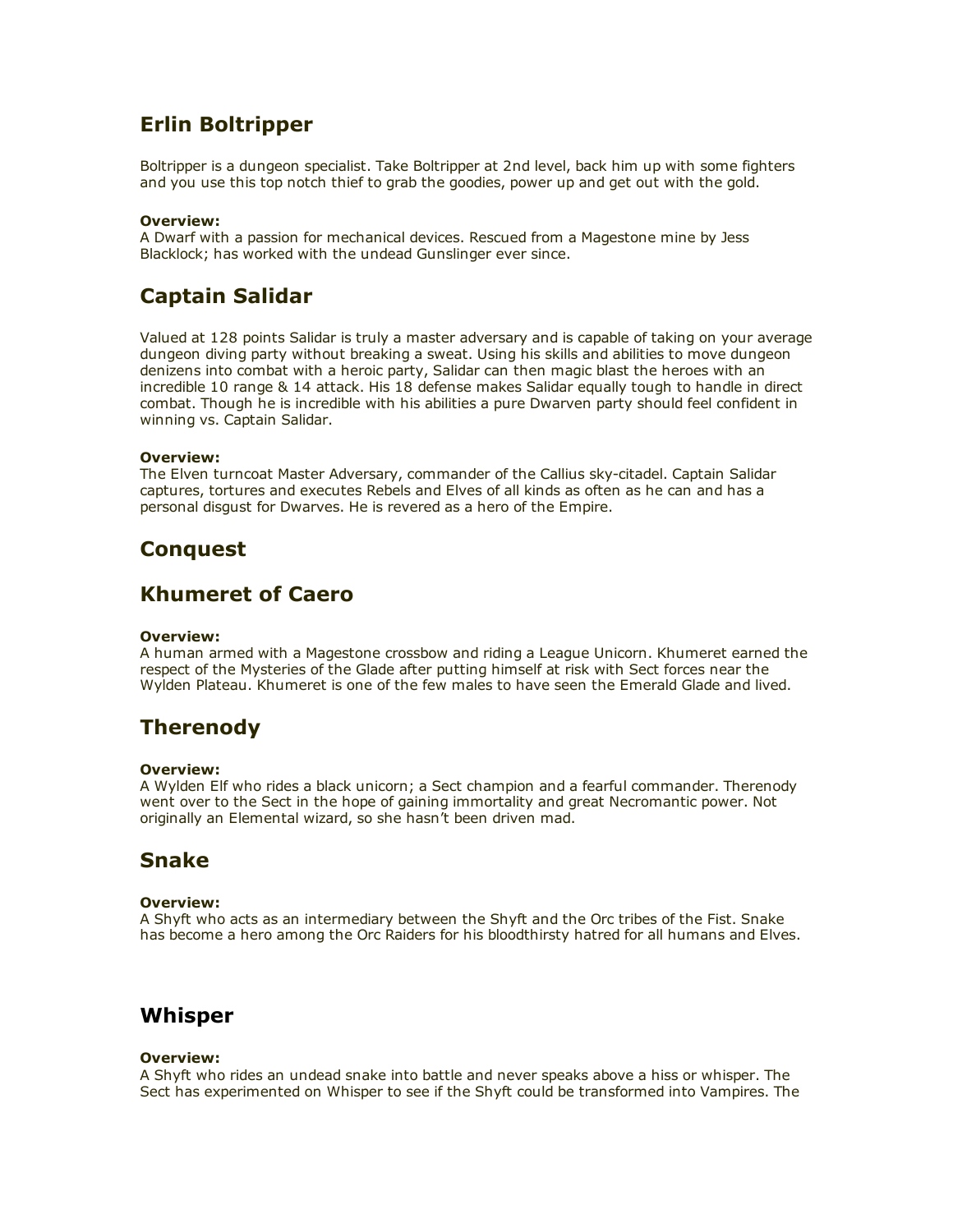# Erlin Boltripper

Boltripper is a dungeon specialist. Take Boltripper at 2nd level, back him up with some fighters and you use this top notch thief to grab the goodies, power up and get out with the gold.

#### Overview:

A Dwarf with a passion for mechanical devices. Rescued from a Magestone mine by Jess Blacklock; has worked with the undead Gunslinger ever since.

# Captain Salidar

Valued at 128 points Salidar is truly a master adversary and is capable of taking on your average dungeon diving party without breaking a sweat. Using his skills and abilities to move dungeon denizens into combat with a heroic party, Salidar can then magic blast the heroes with an incredible 10 range & 14 attack. His 18 defense makes Salidar equally tough to handle in direct combat. Though he is incredible with his abilities a pure Dwarven party should feel confident in winning vs. Captain Salidar.

#### Overview:

The Elven turncoat Master Adversary, commander of the Callius sky-citadel. Captain Salidar captures, tortures and executes Rebels and Elves of all kinds as often as he can and has a personal disgust for Dwarves. He is revered as a hero of the Empire.

## **Conquest**

## Khumeret of Caero

#### Overview:

A human armed with a Magestone crossbow and riding a League Unicorn. Khumeret earned the respect of the Mysteries of the Glade after putting himself at risk with Sect forces near the Wylden Plateau. Khumeret is one of the few males to have seen the Emerald Glade and lived.

# Therenody

#### Overview:

A Wylden Elf who rides a black unicorn; a Sect champion and a fearful commander. Therenody went over to the Sect in the hope of gaining immortality and great Necromantic power. Not originally an Elemental wizard, so she hasn't been driven mad.

## Snake

### Overview:

A Shyft who acts as an intermediary between the Shyft and the Orc tribes of the Fist. Snake has become a hero among the Orc Raiders for his bloodthirsty hatred for all humans and Elves.

## Whisper

#### Overview:

A Shyft who rides an undead snake into battle and never speaks above a hiss or whisper. The Sect has experimented on Whisper to see if the Shyft could be transformed into Vampires. The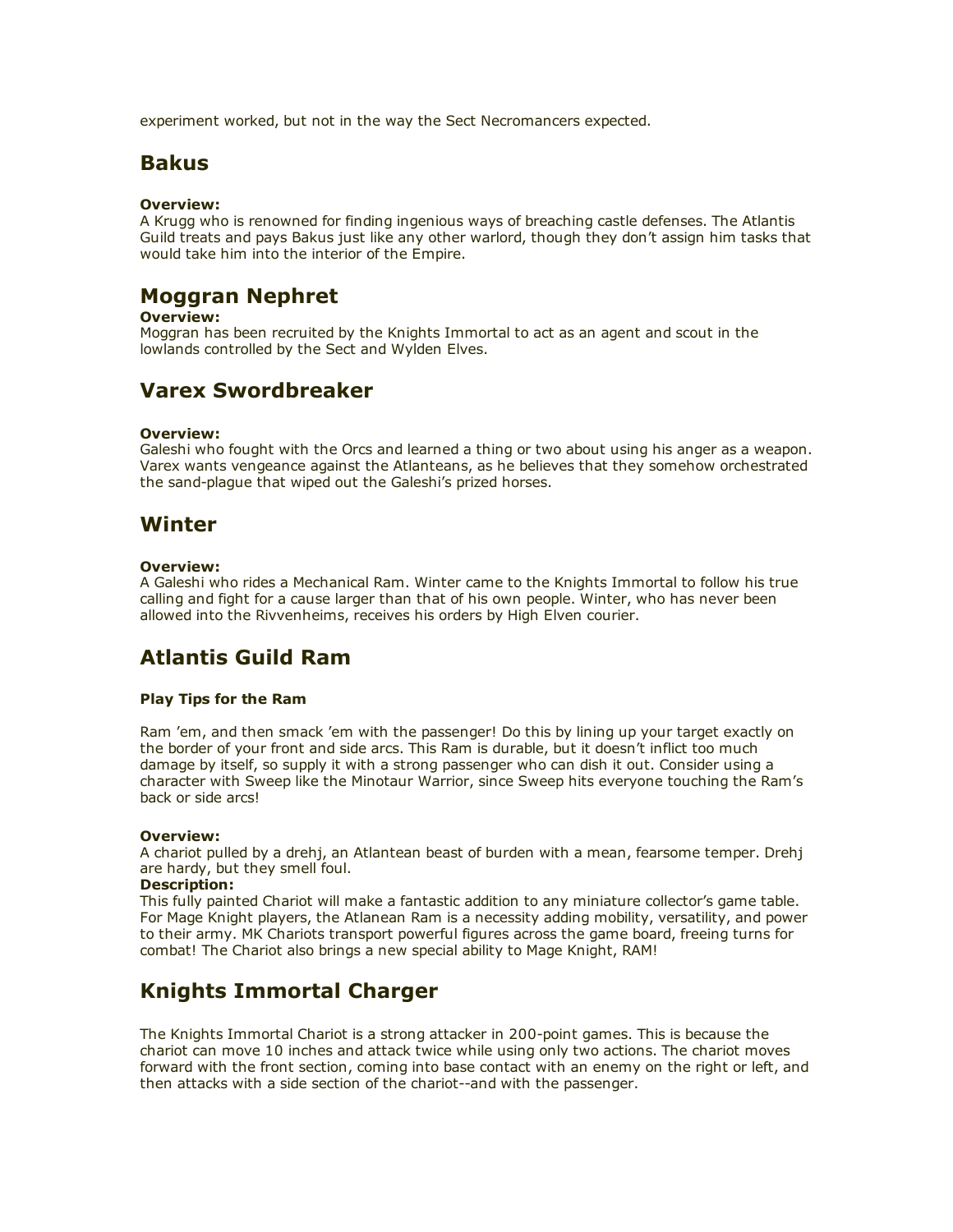experiment worked, but not in the way the Sect Necromancers expected.

## **Bakus**

### Overview:

A Krugg who is renowned for finding ingenious ways of breaching castle defenses. The Atlantis Guild treats and pays Bakus just like any other warlord, though they don't assign him tasks that would take him into the interior of the Empire.

# Moggran Nephret

#### Overview:

Moggran has been recruited by the Knights Immortal to act as an agent and scout in the lowlands controlled by the Sect and Wylden Elves.

# Varex Swordbreaker

#### Overview:

Galeshi who fought with the Orcs and learned a thing or two about using his anger as a weapon. Varex wants vengeance against the Atlanteans, as he believes that they somehow orchestrated the sand-plague that wiped out the Galeshi's prized horses.

## Winter

#### Overview:

A Galeshi who rides a Mechanical Ram. Winter came to the Knights Immortal to follow his true calling and fight for a cause larger than that of his own people. Winter, who has never been allowed into the Rivvenheims, receives his orders by High Elven courier.

# Atlantis Guild Ram

### Play Tips for the Ram

Ram 'em, and then smack 'em with the passenger! Do this by lining up your target exactly on the border of your front and side arcs. This Ram is durable, but it doesn't inflict too much damage by itself, so supply it with a strong passenger who can dish it out. Consider using a character with Sweep like the Minotaur Warrior, since Sweep hits everyone touching the Ram's back or side arcs!

#### Overview:

A chariot pulled by a drehj, an Atlantean beast of burden with a mean, fearsome temper. Drehj are hardy, but they smell foul.

### Description:

This fully painted Chariot will make a fantastic addition to any miniature collector's game table. For Mage Knight players, the Atlanean Ram is a necessity adding mobility, versatility, and power to their army. MK Chariots transport powerful figures across the game board, freeing turns for combat! The Chariot also brings a new special ability to Mage Knight, RAM!

# Knights Immortal Charger

The Knights Immortal Chariot is a strong attacker in 200-point games. This is because the chariot can move 10 inches and attack twice while using only two actions. The chariot moves forward with the front section, coming into base contact with an enemy on the right or left, and then attacks with a side section of the chariot--and with the passenger.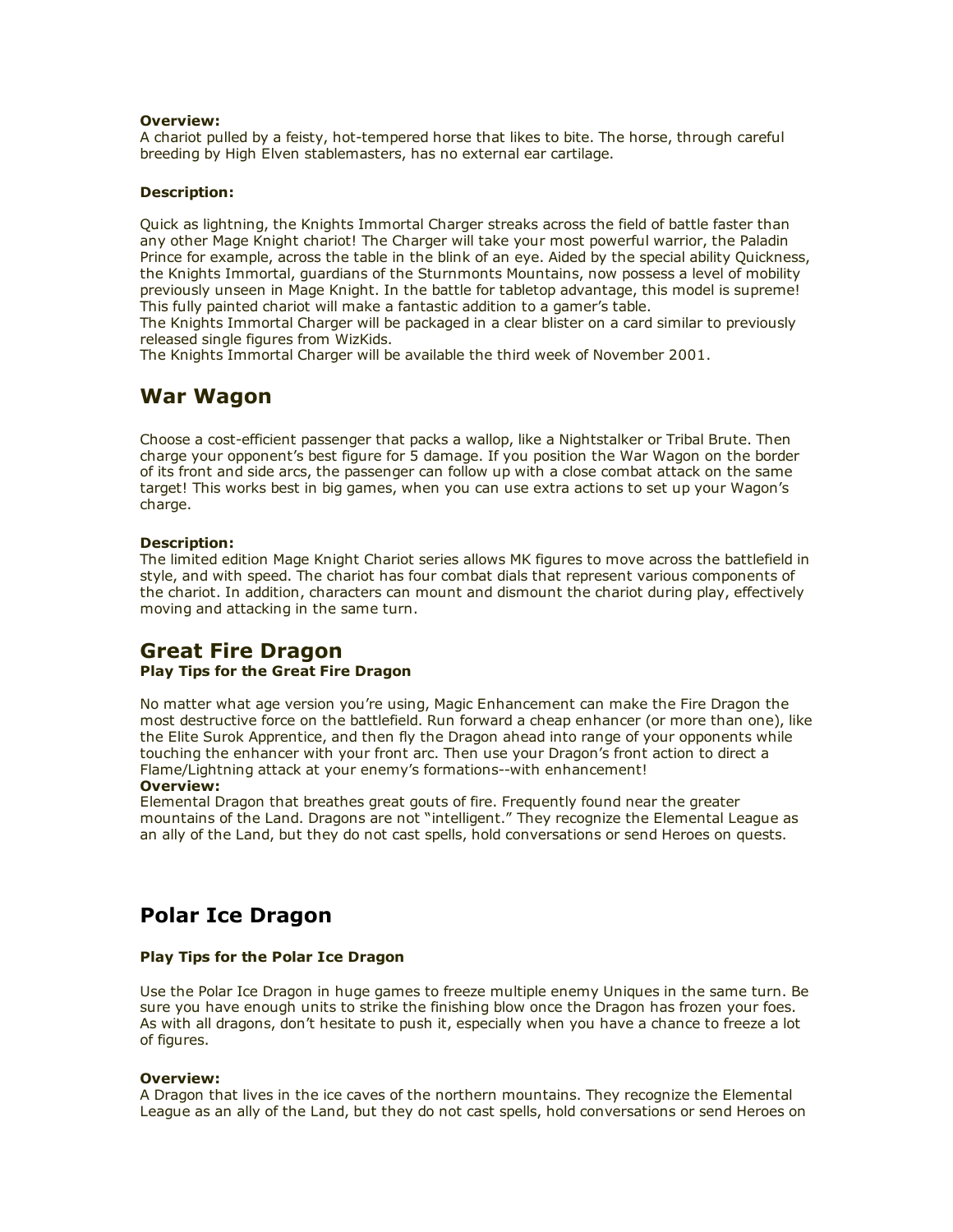#### Overview:

A chariot pulled by a feisty, hot-tempered horse that likes to bite. The horse, through careful breeding by High Elven stablemasters, has no external ear cartilage.

#### Description:

Quick as lightning, the Knights Immortal Charger streaks across the field of battle faster than any other Mage Knight chariot! The Charger will take your most powerful warrior, the Paladin Prince for example, across the table in the blink of an eye. Aided by the special ability Quickness, the Knights Immortal, guardians of the Sturnmonts Mountains, now possess a level of mobility previously unseen in Mage Knight. In the battle for tabletop advantage, this model is supreme! This fully painted chariot will make a fantastic addition to a gamer's table.

The Knights Immortal Charger will be packaged in a clear blister on a card similar to previously released single figures from WizKids.

The Knights Immortal Charger will be available the third week of November 2001.

## War Wagon

Choose a cost-efficient passenger that packs a wallop, like a Nightstalker or Tribal Brute. Then charge your opponent's best figure for 5 damage. If you position the War Wagon on the border of its front and side arcs, the passenger can follow up with a close combat attack on the same target! This works best in big games, when you can use extra actions to set up your Wagon's charge.

#### Description:

The limited edition Mage Knight Chariot series allows MK figures to move across the battlefield in style, and with speed. The chariot has four combat dials that represent various components of the chariot. In addition, characters can mount and dismount the chariot during play, effectively moving and attacking in the same turn.

## Great Fire Dragon

### Play Tips for the Great Fire Dragon

No matter what age version you're using, Magic Enhancement can make the Fire Dragon the most destructive force on the battlefield. Run forward a cheap enhancer (or more than one), like the Elite Surok Apprentice, and then fly the Dragon ahead into range of your opponents while touching the enhancer with your front arc. Then use your Dragon's front action to direct a Flame/Lightning attack at your enemy's formations--with enhancement!

### Overview:

Elemental Dragon that breathes great gouts of fire. Frequently found near the greater mountains of the Land. Dragons are not "intelligent." They recognize the Elemental League as an ally of the Land, but they do not cast spells, hold conversations or send Heroes on quests.

## Polar Ice Dragon

#### Play Tips for the Polar Ice Dragon

Use the Polar Ice Dragon in huge games to freeze multiple enemy Uniques in the same turn. Be sure you have enough units to strike the finishing blow once the Dragon has frozen your foes. As with all dragons, don't hesitate to push it, especially when you have a chance to freeze a lot of figures.

#### Overview:

A Dragon that lives in the ice caves of the northern mountains. They recognize the Elemental League as an ally of the Land, but they do not cast spells, hold conversations or send Heroes on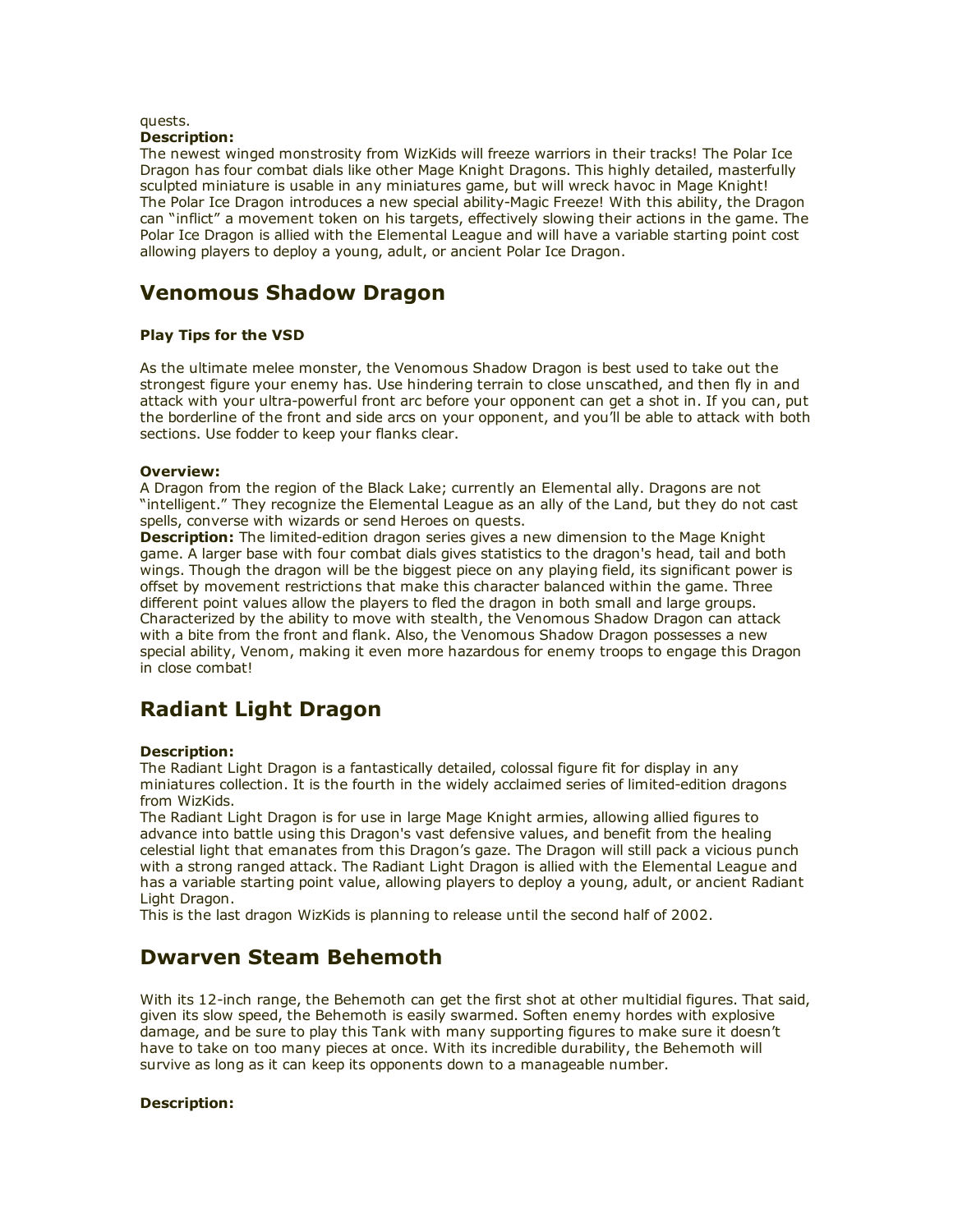#### quests. Description:

The newest winged monstrosity from WizKids will freeze warriors in their tracks! The Polar Ice Dragon has four combat dials like other Mage Knight Dragons. This highly detailed, masterfully sculpted miniature is usable in any miniatures game, but will wreck havoc in Mage Knight! The Polar Ice Dragon introduces a new special ability-Magic Freeze! With this ability, the Dragon can "inflict" a movement token on his targets, effectively slowing their actions in the game. The Polar Ice Dragon is allied with the Elemental League and will have a variable starting point cost allowing players to deploy a young, adult, or ancient Polar Ice Dragon.

# Venomous Shadow Dragon

### Play Tips for the VSD

As the ultimate melee monster, the Venomous Shadow Dragon is best used to take out the strongest figure your enemy has. Use hindering terrain to close unscathed, and then fly in and attack with your ultra-powerful front arc before your opponent can get a shot in. If you can, put the borderline of the front and side arcs on your opponent, and you'll be able to attack with both sections. Use fodder to keep your flanks clear.

#### Overview:

A Dragon from the region of the Black Lake; currently an Elemental ally. Dragons are not "intelligent." They recognize the Elemental League as an ally of the Land, but they do not cast spells, converse with wizards or send Heroes on quests.

**Description:** The limited-edition dragon series gives a new dimension to the Mage Knight game. A larger base with four combat dials gives statistics to the dragon's head, tail and both wings. Though the dragon will be the biggest piece on any playing field, its significant power is offset by movement restrictions that make this character balanced within the game. Three different point values allow the players to fled the dragon in both small and large groups. Characterized by the ability to move with stealth, the Venomous Shadow Dragon can attack with a bite from the front and flank. Also, the Venomous Shadow Dragon possesses a new special ability, Venom, making it even more hazardous for enemy troops to engage this Dragon in close combat!

# Radiant Light Dragon

### Description:

The Radiant Light Dragon is a fantastically detailed, colossal figure fit for display in any miniatures collection. It is the fourth in the widely acclaimed series of limited-edition dragons from WizKids.

The Radiant Light Dragon is for use in large Mage Knight armies, allowing allied figures to advance into battle using this Dragon's vast defensive values, and benefit from the healing celestial light that emanates from this Dragon's gaze. The Dragon will still pack a vicious punch with a strong ranged attack. The Radiant Light Dragon is allied with the Elemental League and has a variable starting point value, allowing players to deploy a young, adult, or ancient Radiant Light Dragon.

This is the last dragon WizKids is planning to release until the second half of 2002.

# Dwarven Steam Behemoth

With its 12-inch range, the Behemoth can get the first shot at other multidial figures. That said, given its slow speed, the Behemoth is easily swarmed. Soften enemy hordes with explosive damage, and be sure to play this Tank with many supporting figures to make sure it doesn't have to take on too many pieces at once. With its incredible durability, the Behemoth will survive as long as it can keep its opponents down to a manageable number.

### Description: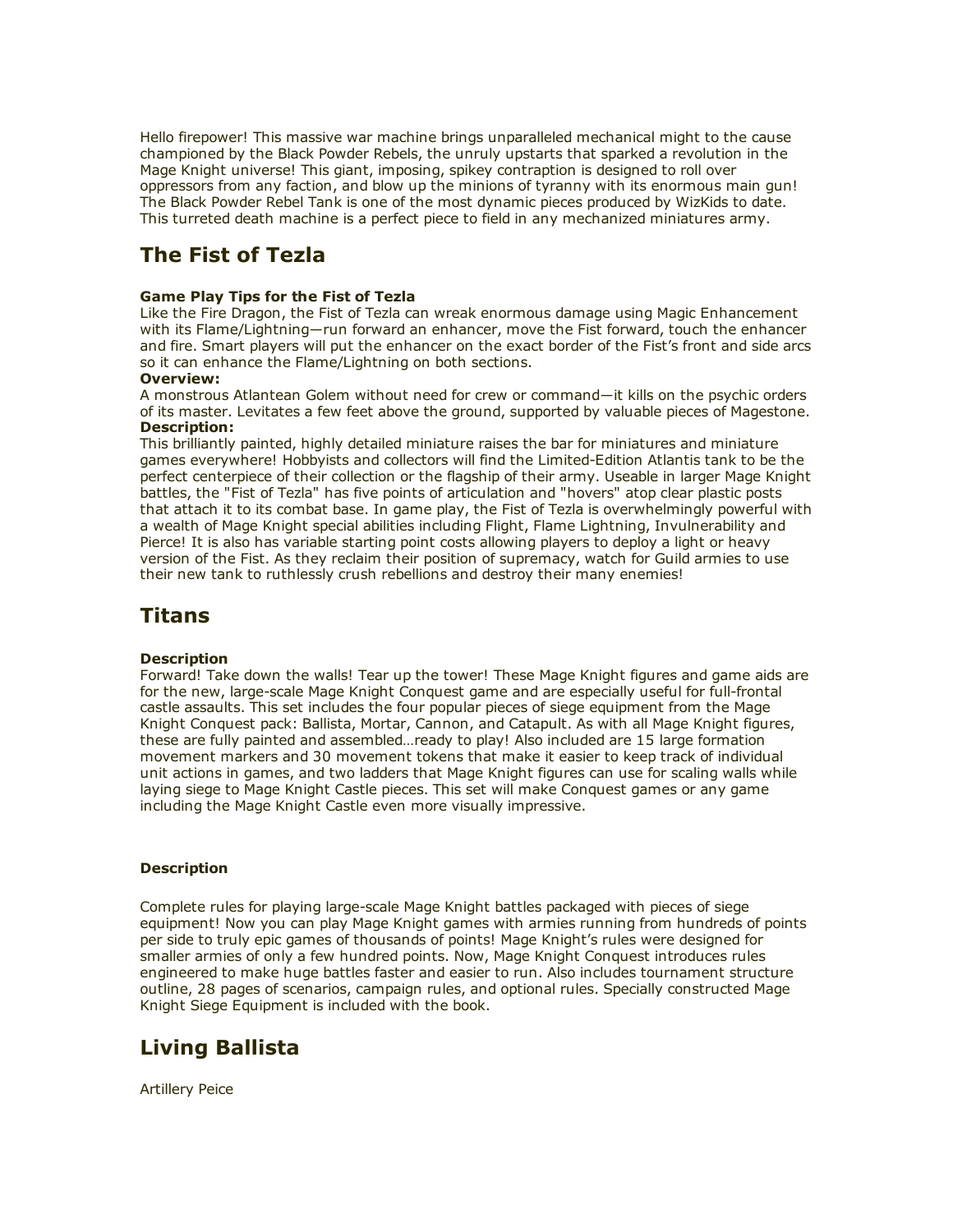Hello firepower! This massive war machine brings unparalleled mechanical might to the cause championed by the Black Powder Rebels, the unruly upstarts that sparked a revolution in the Mage Knight universe! This giant, imposing, spikey contraption is designed to roll over oppressors from any faction, and blow up the minions of tyranny with its enormous main gun! The Black Powder Rebel Tank is one of the most dynamic pieces produced by WizKids to date. This turreted death machine is a perfect piece to field in any mechanized miniatures army.

# The Fist of Tezla

### Game Play Tips for the Fist of Tezla

Like the Fire Dragon, the Fist of Tezla can wreak enormous damage using Magic Enhancement with its Flame/Lightning―run forward an enhancer, move the Fist forward, touch the enhancer and fire. Smart players will put the enhancer on the exact border of the Fist's front and side arcs so it can enhance the Flame/Lightning on both sections.

#### Overview:

A monstrous Atlantean Golem without need for crew or command―it kills on the psychic orders of its master. Levitates a few feet above the ground, supported by valuable pieces of Magestone. Description:

This brilliantly painted, highly detailed miniature raises the bar for miniatures and miniature games everywhere! Hobbyists and collectors will find the Limited-Edition Atlantis tank to be the perfect centerpiece of their collection or the flagship of their army. Useable in larger Mage Knight battles, the "Fist of Tezla" has five points of articulation and "hovers" atop clear plastic posts that attach it to its combat base. In game play, the Fist of Tezla is overwhelmingly powerful with a wealth of Mage Knight special abilities including Flight, Flame Lightning, Invulnerability and Pierce! It is also has variable starting point costs allowing players to deploy a light or heavy version of the Fist. As they reclaim their position of supremacy, watch for Guild armies to use their new tank to ruthlessly crush rebellions and destroy their many enemies!

## Titans

### **Description**

Forward! Take down the walls! Tear up the tower! These Mage Knight figures and game aids are for the new, large-scale Mage Knight Conquest game and are especially useful for full-frontal castle assaults. This set includes the four popular pieces of siege equipment from the Mage Knight Conquest pack: Ballista, Mortar, Cannon, and Catapult. As with all Mage Knight figures, these are fully painted and assembled…ready to play! Also included are 15 large formation movement markers and 30 movement tokens that make it easier to keep track of individual unit actions in games, and two ladders that Mage Knight figures can use for scaling walls while laying siege to Mage Knight Castle pieces. This set will make Conquest games or any game including the Mage Knight Castle even more visually impressive.

### **Description**

Complete rules for playing large-scale Mage Knight battles packaged with pieces of siege equipment! Now you can play Mage Knight games with armies running from hundreds of points per side to truly epic games of thousands of points! Mage Knight's rules were designed for smaller armies of only a few hundred points. Now, Mage Knight Conquest introduces rules engineered to make huge battles faster and easier to run. Also includes tournament structure outline, 28 pages of scenarios, campaign rules, and optional rules. Specially constructed Mage Knight Siege Equipment is included with the book.

# Living Ballista

Artillery Peice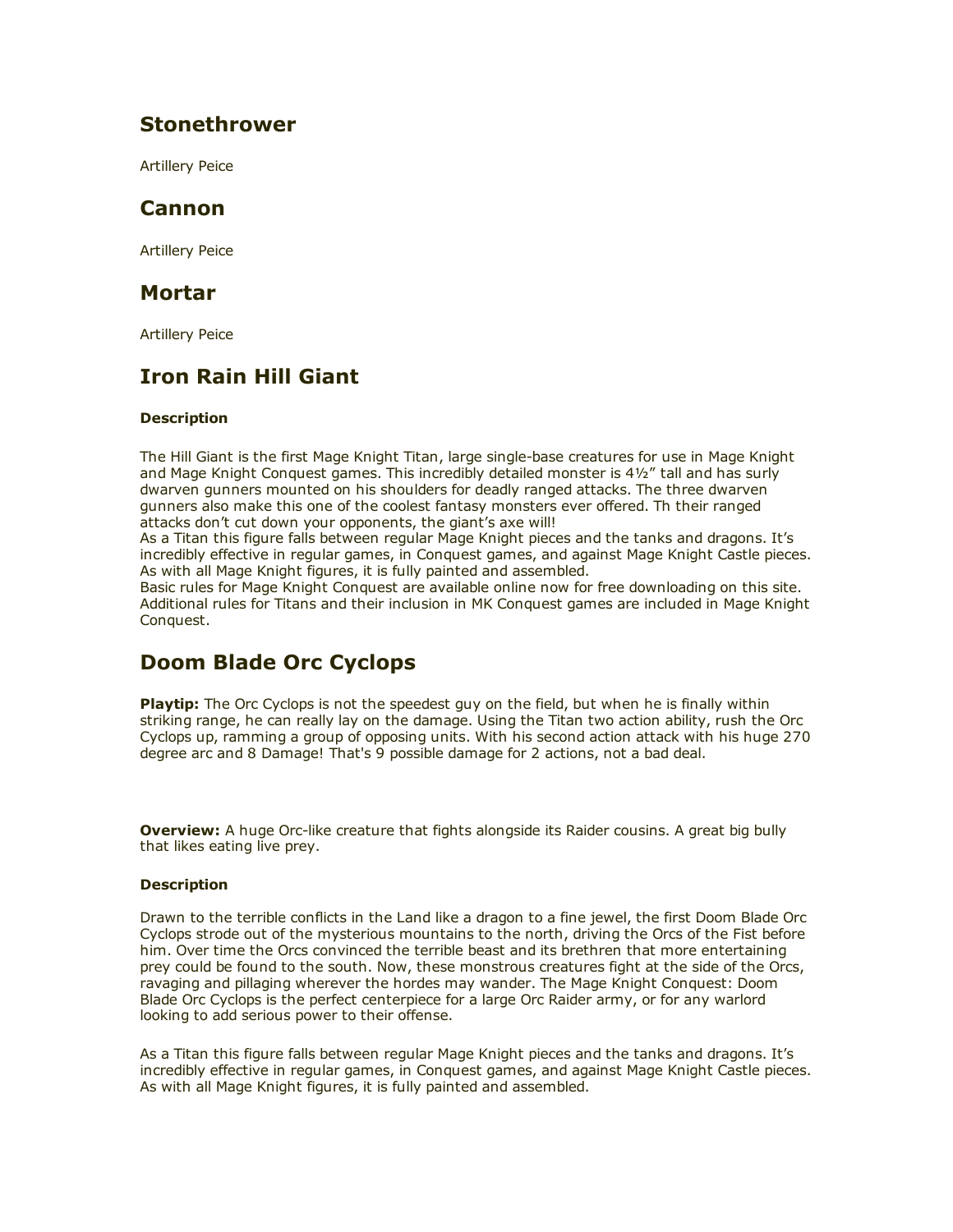## Stonethrower

Artillery Peice

## Cannon

Artillery Peice

### Mortar

Artillery Peice

# Iron Rain Hill Giant

### **Description**

The Hill Giant is the first Mage Knight Titan, large single-base creatures for use in Mage Knight and Mage Knight Conquest games. This incredibly detailed monster is 4½" tall and has surly dwarven gunners mounted on his shoulders for deadly ranged attacks. The three dwarven gunners also make this one of the coolest fantasy monsters ever offered. Th their ranged attacks don't cut down your opponents, the giant's axe will!

As a Titan this figure falls between regular Mage Knight pieces and the tanks and dragons. It's incredibly effective in regular games, in Conquest games, and against Mage Knight Castle pieces. As with all Mage Knight figures, it is fully painted and assembled.

Basic rules for Mage Knight Conquest are available online now for free downloading on this site. Additional rules for Titans and their inclusion in MK Conquest games are included in Mage Knight Conquest.

# Doom Blade Orc Cyclops

Playtip: The Orc Cyclops is not the speedest guy on the field, but when he is finally within striking range, he can really lay on the damage. Using the Titan two action ability, rush the Orc Cyclops up, ramming a group of opposing units. With his second action attack with his huge 270 degree arc and 8 Damage! That's 9 possible damage for 2 actions, not a bad deal.

**Overview:** A huge Orc-like creature that fights alongside its Raider cousins. A great big bully that likes eating live prey.

### **Description**

Drawn to the terrible conflicts in the Land like a dragon to a fine jewel, the first Doom Blade Orc Cyclops strode out of the mysterious mountains to the north, driving the Orcs of the Fist before him. Over time the Orcs convinced the terrible beast and its brethren that more entertaining prey could be found to the south. Now, these monstrous creatures fight at the side of the Orcs, ravaging and pillaging wherever the hordes may wander. The Mage Knight Conquest: Doom Blade Orc Cyclops is the perfect centerpiece for a large Orc Raider army, or for any warlord looking to add serious power to their offense.

As a Titan this figure falls between regular Mage Knight pieces and the tanks and dragons. It's incredibly effective in regular games, in Conquest games, and against Mage Knight Castle pieces. As with all Mage Knight figures, it is fully painted and assembled.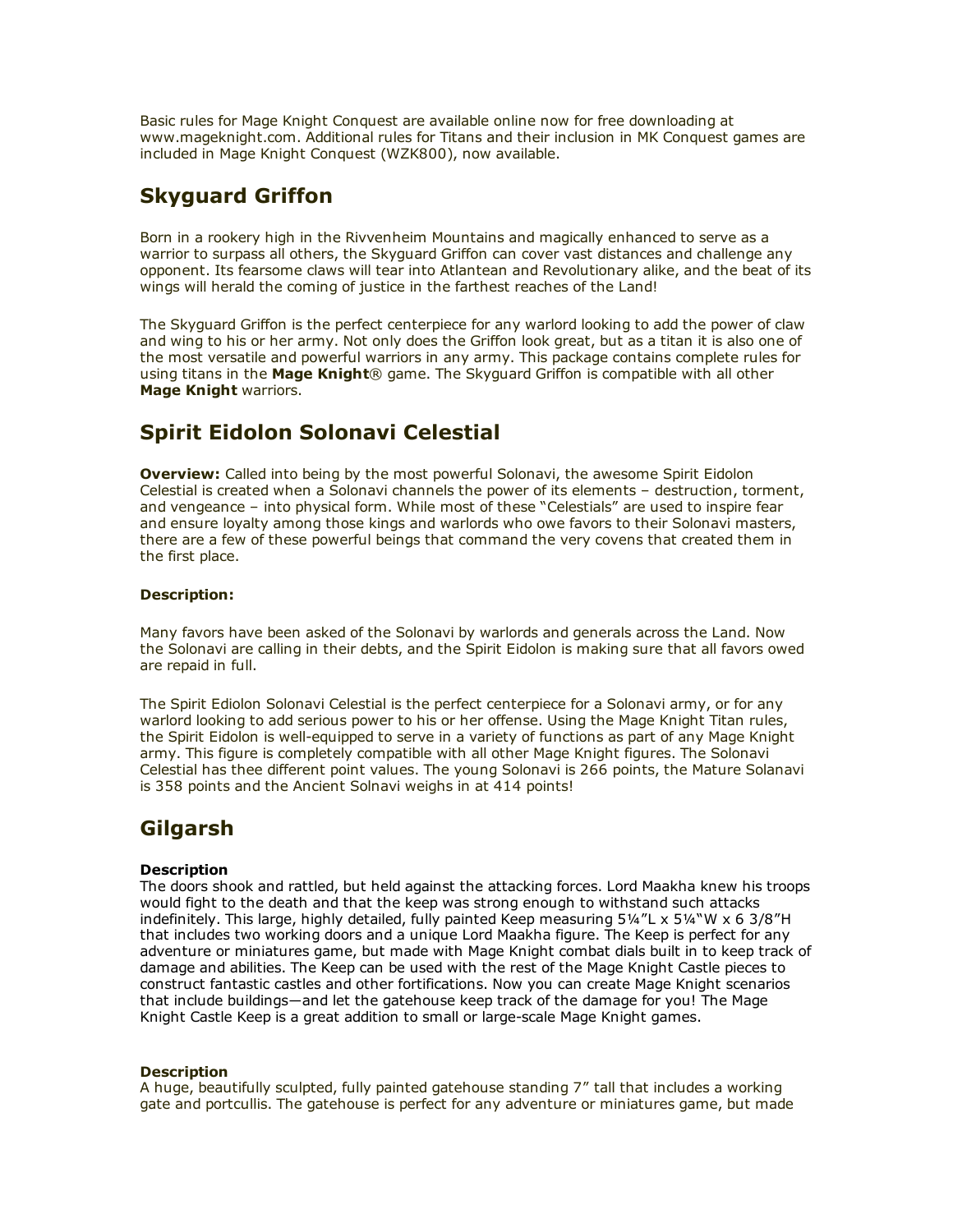Basic rules for Mage Knight Conquest are available online now for free downloading at www.mageknight.com. Additional rules for Titans and their inclusion in MK Conquest games are included in Mage Knight Conquest (WZK800), now available.

# Skyguard Griffon

Born in a rookery high in the Rivvenheim Mountains and magically enhanced to serve as a warrior to surpass all others, the Skyguard Griffon can cover vast distances and challenge any opponent. Its fearsome claws will tear into Atlantean and Revolutionary alike, and the beat of its wings will herald the coming of justice in the farthest reaches of the Land!

The Skyguard Griffon is the perfect centerpiece for any warlord looking to add the power of claw and wing to his or her army. Not only does the Griffon look great, but as a titan it is also one of the most versatile and powerful warriors in any army. This package contains complete rules for using titans in the Mage Knight® game. The Skyguard Griffon is compatible with all other Mage Knight warriors.

# Spirit Eidolon Solonavi Celestial

**Overview:** Called into being by the most powerful Solonavi, the awesome Spirit Eidolon Celestial is created when a Solonavi channels the power of its elements – destruction, torment, and vengeance – into physical form. While most of these "Celestials" are used to inspire fear and ensure loyalty among those kings and warlords who owe favors to their Solonavi masters, there are a few of these powerful beings that command the very covens that created them in the first place.

### Description:

Many favors have been asked of the Solonavi by warlords and generals across the Land. Now the Solonavi are calling in their debts, and the Spirit Eidolon is making sure that all favors owed are repaid in full.

The Spirit Ediolon Solonavi Celestial is the perfect centerpiece for a Solonavi army, or for any warlord looking to add serious power to his or her offense. Using the Mage Knight Titan rules, the Spirit Eidolon is well-equipped to serve in a variety of functions as part of any Mage Knight army. This figure is completely compatible with all other Mage Knight figures. The Solonavi Celestial has thee different point values. The young Solonavi is 266 points, the Mature Solanavi is 358 points and the Ancient Solnavi weighs in at 414 points!

# Gilgarsh

### **Description**

The doors shook and rattled, but held against the attacking forces. Lord Maakha knew his troops would fight to the death and that the keep was strong enough to withstand such attacks indefinitely. This large, highly detailed, fully painted Keep measuring  $5\frac{1}{4}$ "L x  $5\frac{1}{4}$ "W x 6  $3/8$ "H that includes two working doors and a unique Lord Maakha figure. The Keep is perfect for any adventure or miniatures game, but made with Mage Knight combat dials built in to keep track of damage and abilities. The Keep can be used with the rest of the Mage Knight Castle pieces to construct fantastic castles and other fortifications. Now you can create Mage Knight scenarios that include buildings―and let the gatehouse keep track of the damage for you! The Mage Knight Castle Keep is a great addition to small or large-scale Mage Knight games.

#### **Description**

A huge, beautifully sculpted, fully painted gatehouse standing 7" tall that includes a working gate and portcullis. The gatehouse is perfect for any adventure or miniatures game, but made